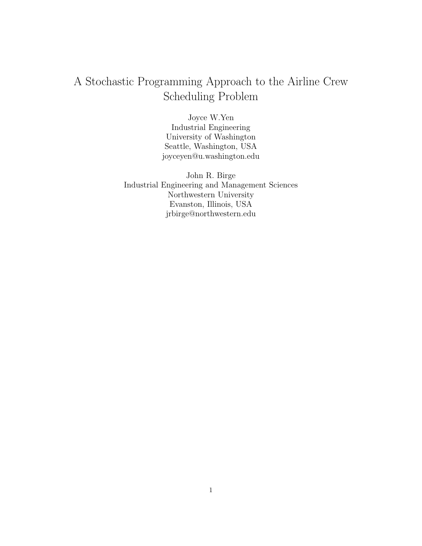# A Stochastic Programming Approach to the Airline Crew Scheduling Problem

Joyce W.Yen Industrial Engineering University of Washington Seattle, Washington, USA joyceyen@u.washington.edu

John R. Birge Industrial Engineering and Management Sciences Northwestern University Evanston, Illinois, USA jrbirge@northwestern.edu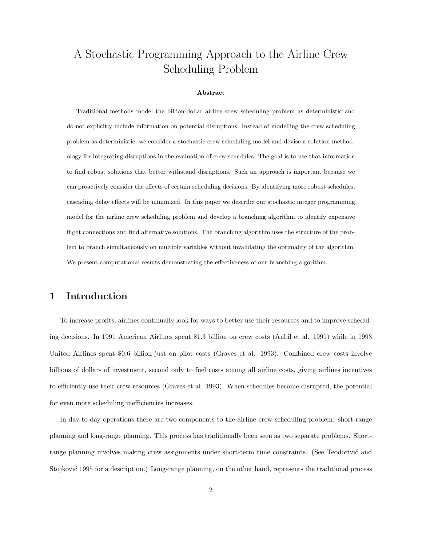# A Stochastic Programming Approach to the Airline Crew Scheduling Problem

#### Abstract

Traditional methods model the billion-dollar airline crew scheduling problem as deterministic and do not explicitly include information on potential disruptions. Instead of modelling the crew scheduling problem as deterministic, we consider a stochastic crew scheduling model and devise a solution methodology for integrating disruptions in the evaluation of crew schedules. The goal is to use that information to find robust solutions that better withstand disruptions. Such an approach is important because we can proactively consider the effects of certain scheduling decisions. By identifying more robust schedules, cascading delay effects will be minimized. In this paper we describe our stochastic integer programming model for the airline crew scheduling problem and develop a branching algorithm to identify expensive flight connections and find alternative solutions. The branching algorithm uses the structure of the problem to branch simultaneously on multiple variables without invalidating the optimality of the algorithm. We present computational results demonstrating the effectiveness of our branching algorithm.

# 1 Introduction

To increase profits, airlines continually look for ways to better use their resources and to improve scheduling decisions. In 1991 American Airlines spent \$1.3 billion on crew costs (Anbil et al. 1991) while in 1993 United Airlines spent \$0.6 billion just on pilot costs (Graves et al. 1993). Combined crew costs involve billions of dollars of investment, second only to fuel costs among all airline costs, giving airlines incentives to efficiently use their crew resources (Graves et al. 1993). When schedules become disrupted, the potential for even more scheduling inefficiencies increases.

In day-to-day operations there are two components to the airline crew scheduling problem: short-range planning and long-range planning. This process has traditionally been seen as two separate problems. Shortrange planning involves making crew assignments under short-term time constraints. (See Teodorivić and Stojković 1995 for a description.) Long-range planning, on the other hand, represents the traditional process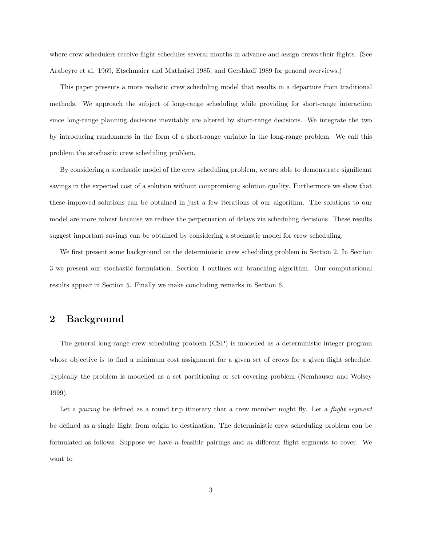where crew schedulers receive flight schedules several months in advance and assign crews their flights. (See Arabeyre et al. 1969, Etschmaier and Mathaisel 1985, and Gershkoff 1989 for general overviews.)

This paper presents a more realistic crew scheduling model that results in a departure from traditional methods. We approach the subject of long-range scheduling while providing for short-range interaction since long-range planning decisions inevitably are altered by short-range decisions. We integrate the two by introducing randomness in the form of a short-range variable in the long-range problem. We call this problem the stochastic crew scheduling problem.

By considering a stochastic model of the crew scheduling problem, we are able to demonstrate significant savings in the expected cost of a solution without compromising solution quality. Furthermore we show that these improved solutions can be obtained in just a few iterations of our algorithm. The solutions to our model are more robust because we reduce the perpetuation of delays via scheduling decisions. These results suggest important savings can be obtained by considering a stochastic model for crew scheduling.

We first present some background on the deterministic crew scheduling problem in Section 2. In Section 3 we present our stochastic formulation. Section 4 outlines our branching algorithm. Our computational results appear in Section 5. Finally we make concluding remarks in Section 6.

## 2 Background

The general long-range crew scheduling problem (CSP) is modelled as a deterministic integer program whose objective is to find a minimum cost assignment for a given set of crews for a given flight schedule. Typically the problem is modelled as a set partitioning or set covering problem (Nemhauser and Wolsey 1999).

Let a pairing be defined as a round trip itinerary that a crew member might fly. Let a *flight segment* be defined as a single flight from origin to destination. The deterministic crew scheduling problem can be formulated as follows: Suppose we have n feasible pairings and  $m$  different flight segments to cover. We want to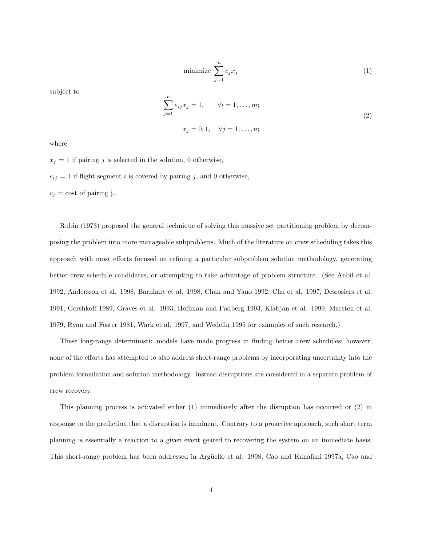$$
\text{minimize } \sum_{j=1}^{n} c_j x_j \tag{1}
$$

subject to

$$
\sum_{j=1}^{n} e_{ij} x_j = 1, \qquad \forall i = 1, ..., m; \n x_j = 0, 1, \quad \forall j = 1, ..., n; \n \tag{2}
$$

where

 $x_j = 1$  if pairing j is selected in the solution, 0 otherwise,

 $e_{ij} = 1$  if flight segment *i* is covered by pairing *j*, and 0 otherwise,

 $c_j = \text{cost of pairing } j.$ 

Rubin (1973) proposed the general technique of solving this massive set partitioning problem by decomposing the problem into more manageable subproblems. Much of the literature on crew scheduling takes this approach with most efforts focused on refining a particular subproblem solution methodology, generating better crew schedule candidates, or attempting to take advantage of problem structure. (See Anbil et al. 1992, Andersson et al. 1998, Barnhart et al. 1998, Chan and Yano 1992, Chu et al. 1997, Desrosiers et al. 1991, Gershkoff 1989, Graves et al. 1993, Hoffman and Padberg 1993, Klabjan et al. 1999, Marsten et al. 1979, Ryan and Foster 1981, Wark et al. 1997, and Wedelin 1995 for examples of such research.)

These long-range deterministic models have made progress in finding better crew schedules; however, none of the efforts has attempted to also address short-range problems by incorporating uncertainty into the problem formulation and solution methodology. Instead disruptions are considered in a separate problem of crew recovery.

This planning process is activated either (1) immediately after the disruption has occurred or (2) in response to the prediction that a disruption is imminent. Contrary to a proactive approach, such short term planning is essentially a reaction to a given event geared to recovering the system on an immediate basis. This short-range problem has been addressed in Argüello et al. 1998, Cao and Kanafani 1997a, Cao and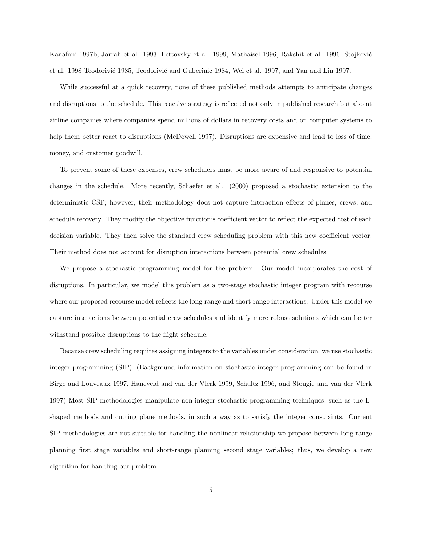Kanafani 1997b, Jarrah et al. 1993, Lettovsky et al. 1999, Mathaisel 1996, Rakshit et al. 1996, Stojković et al. 1998 Teodorivić 1985, Teodorivić and Guberinic 1984, Wei et al. 1997, and Yan and Lin 1997.

While successful at a quick recovery, none of these published methods attempts to anticipate changes and disruptions to the schedule. This reactive strategy is reflected not only in published research but also at airline companies where companies spend millions of dollars in recovery costs and on computer systems to help them better react to disruptions (McDowell 1997). Disruptions are expensive and lead to loss of time, money, and customer goodwill.

To prevent some of these expenses, crew schedulers must be more aware of and responsive to potential changes in the schedule. More recently, Schaefer et al. (2000) proposed a stochastic extension to the deterministic CSP; however, their methodology does not capture interaction effects of planes, crews, and schedule recovery. They modify the objective function's coefficient vector to reflect the expected cost of each decision variable. They then solve the standard crew scheduling problem with this new coefficient vector. Their method does not account for disruption interactions between potential crew schedules.

We propose a stochastic programming model for the problem. Our model incorporates the cost of disruptions. In particular, we model this problem as a two-stage stochastic integer program with recourse where our proposed recourse model reflects the long-range and short-range interactions. Under this model we capture interactions between potential crew schedules and identify more robust solutions which can better withstand possible disruptions to the flight schedule.

Because crew scheduling requires assigning integers to the variables under consideration, we use stochastic integer programming (SIP). (Background information on stochastic integer programming can be found in Birge and Louveaux 1997, Haneveld and van der Vlerk 1999, Schultz 1996, and Stougie and van der Vlerk 1997) Most SIP methodologies manipulate non-integer stochastic programming techniques, such as the Lshaped methods and cutting plane methods, in such a way as to satisfy the integer constraints. Current SIP methodologies are not suitable for handling the nonlinear relationship we propose between long-range planning first stage variables and short-range planning second stage variables; thus, we develop a new algorithm for handling our problem.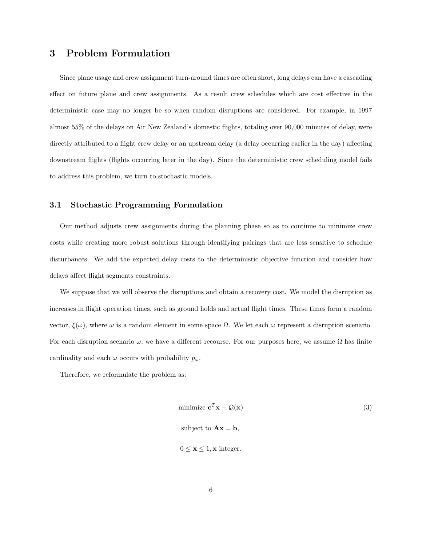# 3 Problem Formulation

Since plane usage and crew assignment turn-around times are often short, long delays can have a cascading effect on future plane and crew assignments. As a result crew schedules which are cost effective in the deterministic case may no longer be so when random disruptions are considered. For example, in 1997 almost 55% of the delays on Air New Zealand's domestic flights, totaling over 90,000 minutes of delay, were directly attributed to a flight crew delay or an upstream delay (a delay occurring earlier in the day) affecting downstream flights (flights occurring later in the day). Since the deterministic crew scheduling model fails to address this problem, we turn to stochastic models.

#### 3.1 Stochastic Programming Formulation

Our method adjusts crew assignments during the planning phase so as to continue to minimize crew costs while creating more robust solutions through identifying pairings that are less sensitive to schedule disturbances. We add the expected delay costs to the deterministic objective function and consider how delays affect flight segments constraints.

We suppose that we will observe the disruptions and obtain a recovery cost. We model the disruption as increases in flight operation times, such as ground holds and actual flight times. These times form a random vector,  $\xi(\omega)$ , where  $\omega$  is a random element in some space Ω. We let each  $\omega$  represent a disruption scenario. For each disruption scenario  $\omega$ , we have a different recourse. For our purposes here, we assume  $\Omega$  has finite cardinality and each  $\omega$  occurs with probability  $p_{\omega}$ .

Therefore, we reformulate the problem as:

minimize 
$$
\mathbf{c}^T \mathbf{x} + \mathcal{Q}(\mathbf{x})
$$
 (3)  
subject to  $\mathbf{A}\mathbf{x} = \mathbf{b}$ ,  
 $0 \le \mathbf{x} \le 1, \mathbf{x}$  integer.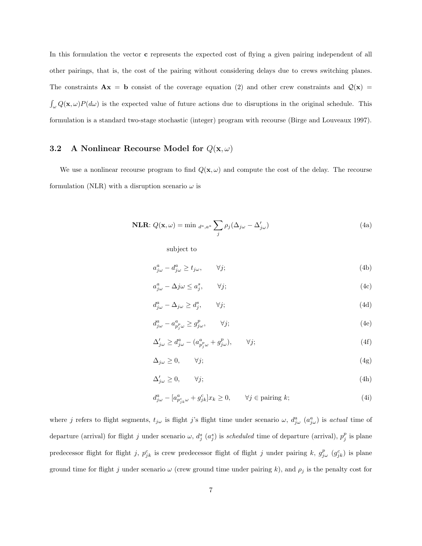In this formulation the vector **c** represents the expected cost of flying a given pairing independent of all other pairings, that is, the cost of the pairing without considering delays due to crews switching planes. The constraints  $\mathbf{A}\mathbf{x} = \mathbf{b}$  consist of the coverage equation (2) and other crew constraints and  $\mathcal{Q}(\mathbf{x}) =$  $\int_{\omega} Q(\mathbf{x}, \omega) P(d\omega)$  is the expected value of future actions due to disruptions in the original schedule. This formulation is a standard two-stage stochastic (integer) program with recourse (Birge and Louveaux 1997).

# 3.2 A Nonlinear Recourse Model for  $Q(\mathbf{x}, \omega)$

We use a nonlinear recourse program to find  $Q(\mathbf{x}, \omega)$  and compute the cost of the delay. The recourse formulation (NLR) with a disruption scenario  $\omega$  is

**NLR:** 
$$
Q(\mathbf{x}, \omega) = \min_{d^a, a^a} \sum_j \rho_j (\Delta_{j\omega} - \Delta'_{j\omega})
$$
 (4a)

subject to

$$
a_{j\omega}^a - d_{j\omega}^a \ge t_{j\omega}, \qquad \forall j; \tag{4b}
$$

$$
a_{j\omega}^a - \Delta j\omega \le a_j^s, \qquad \forall j; \tag{4c}
$$

$$
d_{j\omega}^a - \Delta_{j\omega} \ge d_j^s, \qquad \forall j; \tag{4d}
$$

$$
d_{j\omega}^a - a_{p_j^p\omega}^a \ge g_{j\omega}^p, \qquad \forall j; \tag{4e}
$$

$$
\Delta'_{j\omega} \ge d^a_{j\omega} - (a^a_{p^p_j\omega} + g^p_{j\omega}), \qquad \forall j; \tag{4f}
$$

$$
\Delta_{j\omega} \ge 0, \qquad \forall j; \tag{4g}
$$

$$
\Delta'_{j\omega} \ge 0, \qquad \forall j; \tag{4h}
$$

$$
d_{j\omega}^a - [a_{p_{jk}^c\omega}^a + g_{jk}^c]x_k \ge 0, \qquad \forall j \in \text{pairing } k;\tag{4i}
$$

where j refers to flight segments,  $t_{j\omega}$  is flight j's flight time under scenario  $\omega$ ,  $d_{j\omega}^a$   $(a_{j\omega}^a)$  is actual time of departure (arrival) for flight j under scenario  $\omega$ ,  $d_j^s$  ( $a_j^s$ ) is scheduled time of departure (arrival),  $p_j^p$  is plane predecessor flight for flight j,  $p_{jk}^c$  is crew predecessor flight of flight j under pairing k,  $g_{j\omega}^p$   $(g_{jk}^c)$  is plane ground time for flight j under scenario  $\omega$  (crew ground time under pairing k), and  $\rho_j$  is the penalty cost for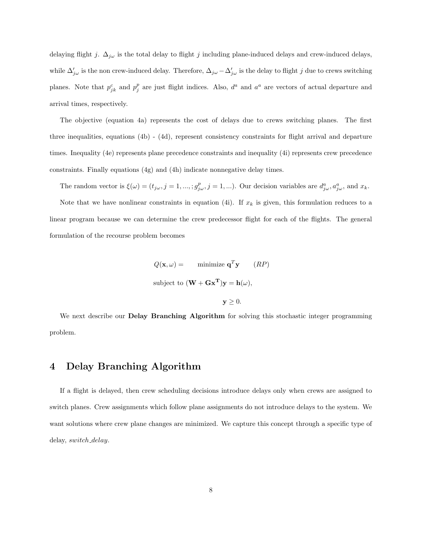delaying flight j.  $\Delta_{j\omega}$  is the total delay to flight j including plane-induced delays and crew-induced delays, while  $\Delta'_{j\omega}$  is the non crew-induced delay. Therefore,  $\Delta_{j\omega} - \Delta'_{j\omega}$  is the delay to flight  $j$  due to crews switching planes. Note that  $p_{jk}^c$  and  $p_j^p$  are just flight indices. Also,  $d^a$  and  $a^a$  are vectors of actual departure and arrival times, respectively.

The objective (equation 4a) represents the cost of delays due to crews switching planes. The first three inequalities, equations (4b) - (4d), represent consistency constraints for flight arrival and departure times. Inequality (4e) represents plane precedence constraints and inequality (4i) represents crew precedence constraints. Finally equations (4g) and (4h) indicate nonnegative delay times.

The random vector is  $\xi(\omega) = (t_{j\omega}, j = 1, ..., ; g_{j\omega}^p, j = 1, ...).$  Our decision variables are  $d_{j\omega}^a, a_{j\omega}^a$ , and  $x_k$ . Note that we have nonlinear constraints in equation (4i). If  $x_k$  is given, this formulation reduces to a linear program because we can determine the crew predecessor flight for each of the flights. The general formulation of the recourse problem becomes

$$
Q(\mathbf{x}, \omega) = \text{minimize } \mathbf{q}^T \mathbf{y} \qquad (RP)
$$
  
subject to  $(\mathbf{W} + \mathbf{G}\mathbf{x}^T)\mathbf{y} = \mathbf{h}(\omega)$ ,  
 $\mathbf{y} \ge 0$ .

We next describe our **Delay Branching Algorithm** for solving this stochastic integer programming problem.

### 4 Delay Branching Algorithm

If a flight is delayed, then crew scheduling decisions introduce delays only when crews are assigned to switch planes. Crew assignments which follow plane assignments do not introduce delays to the system. We want solutions where crew plane changes are minimized. We capture this concept through a specific type of delay, switch delay.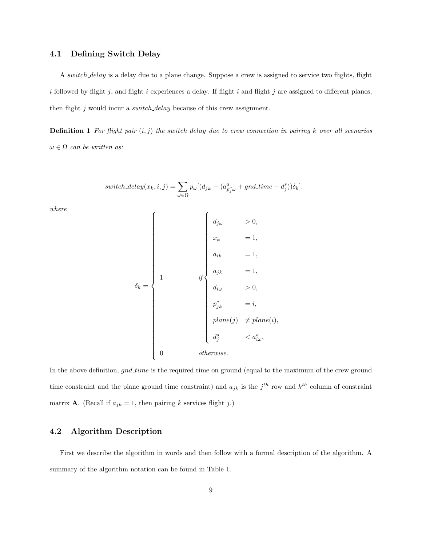### 4.1 Defining Switch Delay

A switch delay is a delay due to a plane change. Suppose a crew is assigned to service two flights, flight i followed by flight j, and flight i experiences a delay. If flight i and flight j are assigned to different planes, then flight j would incur a *switch\_delay* because of this crew assignment.

**Definition 1** For flight pair  $(i, j)$  the switch delay due to crew connection in pairing k over all scenarios  $\omega \in \Omega$  can be written as:

$$
switch\_delay(x_k, i, j) = \sum_{\omega \in \Omega} p_{\omega} [(d_{j\omega} - (a_{p_j^p \omega}^a + gnd_time - d_j^s))\delta_k],
$$

where

$$
\delta_k = \begin{cases}\n\begin{cases}\n d_{j\omega} > 0, \\
x_k & = 1, \\
a_{ik} & = 1, \\
d_{jk} & = 1, \\
d_{i\omega} > 0, \\
p_{jk}^c & = i, \\
p_{i\omega}^c & \neq plane(i), \\
d_j^s < a_{i\omega}^a, \\
0 & \text{otherwise.}\n\end{cases}\n\end{cases}
$$

In the above definition,  $gnd_time$  is the required time on ground (equal to the maximum of the crew ground time constraint and the plane ground time constraint) and  $a_{jk}$  is the  $j^{th}$  row and  $k^{th}$  column of constraint matrix **A**. (Recall if  $a_{jk} = 1$ , then pairing k services flight j.)

### 4.2 Algorithm Description

First we describe the algorithm in words and then follow with a formal description of the algorithm. A summary of the algorithm notation can be found in Table 1.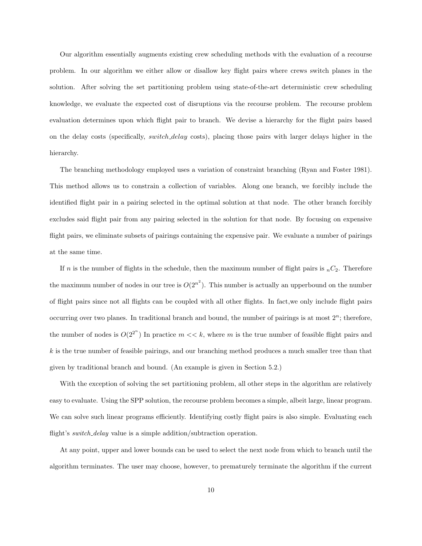Our algorithm essentially augments existing crew scheduling methods with the evaluation of a recourse problem. In our algorithm we either allow or disallow key flight pairs where crews switch planes in the solution. After solving the set partitioning problem using state-of-the-art deterministic crew scheduling knowledge, we evaluate the expected cost of disruptions via the recourse problem. The recourse problem evaluation determines upon which flight pair to branch. We devise a hierarchy for the flight pairs based on the delay costs (specifically, switch delay costs), placing those pairs with larger delays higher in the hierarchy.

The branching methodology employed uses a variation of constraint branching (Ryan and Foster 1981). This method allows us to constrain a collection of variables. Along one branch, we forcibly include the identified flight pair in a pairing selected in the optimal solution at that node. The other branch forcibly excludes said flight pair from any pairing selected in the solution for that node. By focusing on expensive flight pairs, we eliminate subsets of pairings containing the expensive pair. We evaluate a number of pairings at the same time.

If n is the number of flights in the schedule, then the maximum number of flight pairs is  $nC_2$ . Therefore the maximum number of nodes in our tree is  $O(2^{n^2})$ . This number is actually an upperbound on the number of flight pairs since not all flights can be coupled with all other flights. In fact,we only include flight pairs occurring over two planes. In traditional branch and bound, the number of pairings is at most  $2<sup>n</sup>$ ; therefore, the number of nodes is  $O(2^{2^n})$  In practice  $m \ll k$ , where m is the true number of feasible flight pairs and k is the true number of feasible pairings, and our branching method produces a much smaller tree than that given by traditional branch and bound. (An example is given in Section 5.2.)

With the exception of solving the set partitioning problem, all other steps in the algorithm are relatively easy to evaluate. Using the SPP solution, the recourse problem becomes a simple, albeit large, linear program. We can solve such linear programs efficiently. Identifying costly flight pairs is also simple. Evaluating each flight's *switch\_delay* value is a simple addition/subtraction operation.

At any point, upper and lower bounds can be used to select the next node from which to branch until the algorithm terminates. The user may choose, however, to prematurely terminate the algorithm if the current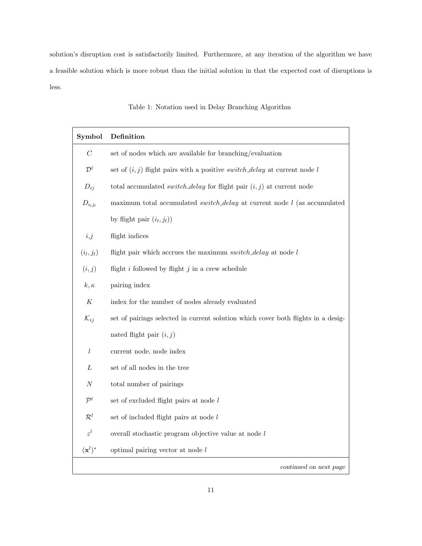solution's disruption cost is satisfactorily limited. Furthermore, at any iteration of the algorithm we have a feasible solution which is more robust than the initial solution in that the expected cost of disruptions is less.

| Symbol             | Definition                                                                         |
|--------------------|------------------------------------------------------------------------------------|
| $\boldsymbol{C}$   | set of nodes which are available for branching/evaluation                          |
| $\mathcal{D}^l$    | set of $(i, j)$ flight pairs with a positive <i>switch_delay</i> at current node l |
| $D_{ij}$           | total accumulated <i>switch_delay</i> for flight pair $(i, j)$ at current node     |
| $D_{i_lj_l}$       | maximum total accumulated <i>switch_delay</i> at current node $l$ (as accumulated  |
|                    | by flight pair $(i_l, j_l)$                                                        |
| i,j                | flight indices                                                                     |
| $(i_l, j_l)$       | flight pair which accrues the maximum switch_delay at node $l$                     |
| (i, j)             | flight $i$ followed by flight $j$ in a crew schedule                               |
| $k, \kappa$        | pairing index                                                                      |
| $\boldsymbol{K}$   | index for the number of nodes already evaluated                                    |
| $\mathcal{K}_{ij}$ | set of pairings selected in current solution which cover both flights in a desig-  |
|                    | nated flight pair $(i, j)$                                                         |
| $\mathfrak l$      | current node, node index                                                           |
| L                  | set of all nodes in the tree                                                       |
| N                  | total number of pairings                                                           |
| $\mathcal{P}^l$    | set of excluded flight pairs at node l                                             |
| $\mathcal{R}^l$    | set of included flight pairs at node $l$                                           |
| $z^l$              | overall stochastic program objective value at node l                               |
| $(\mathbf{x}^l)^*$ | optimal pairing vector at node $l$                                                 |
|                    | continued on next page                                                             |

Table 1: Notation used in Delay Branching Algorithm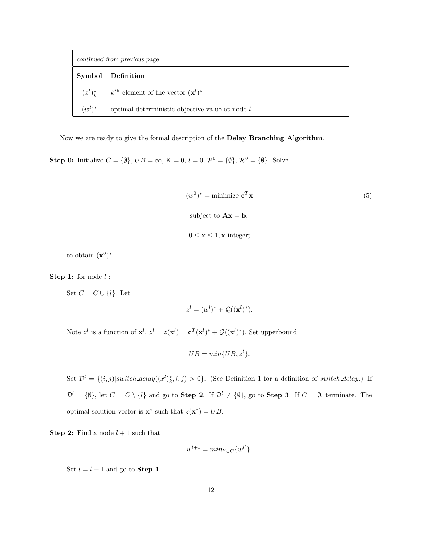| continued from previous page |                                                                |  |  |
|------------------------------|----------------------------------------------------------------|--|--|
|                              | Symbol Definition                                              |  |  |
|                              | $(x^{l})_{k}^{*}$ $k^{th}$ element of the vector $(x^{l})^{*}$ |  |  |
| $(w^{l})^*$                  | optimal deterministic objective value at node $l$              |  |  |

Now we are ready to give the formal description of the Delay Branching Algorithm.

**Step 0:** Initialize  $C = \{\emptyset\}$ ,  $UB = \infty$ ,  $K = 0$ ,  $l = 0$ ,  $\mathcal{P}^0 = \{\emptyset\}$ ,  $\mathcal{R}^0 = \{\emptyset\}$ . Solve

 $(w^0)^* = \text{minimize } \mathbf{c}$  $T$ **x** (5) subject to  $\mathbf{A}\mathbf{x} = \mathbf{b}$ ;  $0 \leq \mathbf{x} \leq 1, \mathbf{x}$  integer;

to obtain  $(\mathbf{x}^0)^*$ .

**Step 1:** for node  $l$  :

Set  $C = C \cup \{l\}$ . Let

$$
z^l = (w^l)^* + \mathcal{Q}((\mathbf{x}^l)^*).
$$

Note  $z^l$  is a function of  $\mathbf{x}^l$ ,  $z^l = z(\mathbf{x}^l) = \mathbf{c}^T(\mathbf{x}^l)^* + \mathcal{Q}((\mathbf{x}^l)^*)$ . Set upperbound

$$
UB = min\{UB, z^l\}.
$$

Set  $\mathcal{D}^l = \{(i,j)|switch\_delay((x^l)^*_k,i,j) > 0\}$ . (See Definition 1 for a definition of switch\_delay.) If  $\mathcal{D}^l = \{\emptyset\}$ , let  $C = C \setminus \{l\}$  and go to **Step 2**. If  $\mathcal{D}^l \neq \{\emptyset\}$ , go to **Step 3**. If  $C = \emptyset$ , terminate. The optimal solution vector is  $\mathbf{x}^*$  such that  $z(\mathbf{x}^*) = UB$ .

**Step 2:** Find a node  $l + 1$  such that

$$
w^{l+1} = \min_{l' \in C} \{w^{l'}\}.
$$

Set  $l = l + 1$  and go to **Step 1**.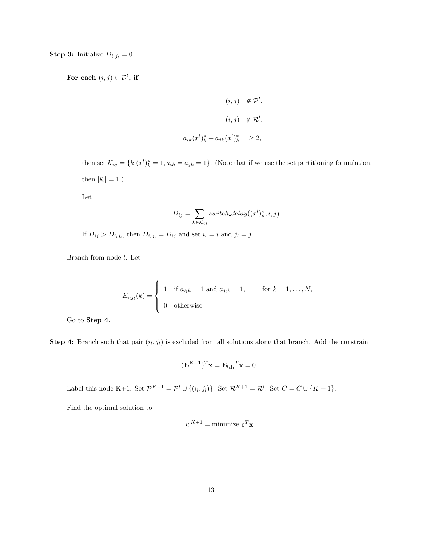**Step 3:** Initialize  $D_{i_lj_l} = 0$ .

For each  $(i, j) \in \mathcal{D}^l$ , if

$$
(i,j) \notin \mathcal{P}^l,
$$
  

$$
(i,j) \notin \mathcal{R}^l,
$$
  

$$
a_{ik}(x^l)^*_k + a_{jk}(x^l)^*_k \geq 2,
$$

then set  $\mathcal{K}_{ij} = \{k | (x^l)_k^* = 1, a_{ik} = a_{jk} = 1\}$ . (Note that if we use the set partitioning formulation, then  $|\mathcal{K}| = 1.$ 

Let

$$
D_{ij} = \sum_{k \in \mathcal{K}_{ij}} switch\_delay((x^l)_\kappa^*, i, j).
$$

If  $D_{ij} > D_{i_l j_l}$ , then  $D_{i_l j_l} = D_{ij}$  and set  $i_l = i$  and  $j_l = j$ .

Branch from node l. Let

$$
E_{i_l j_l}(k) = \begin{cases} 1 & \text{if } a_{i_l k} = 1 \text{ and } a_{j_l k} = 1, \quad \text{for } k = 1, \dots, N, \\ 0 & \text{otherwise} \end{cases}
$$

Go to Step 4.

**Step 4:** Branch such that pair  $(i_l, j_l)$  is excluded from all solutions along that branch. Add the constraint

$$
(\mathbf{E}^{\mathbf{K}+\mathbf{1}})^T \mathbf{x} = \mathbf{E}_{\mathbf{i}_1 \mathbf{j}_1}^T \mathbf{x} = 0.
$$

Label this node K+1. Set  $\mathcal{P}^{K+1} = \mathcal{P}^l \cup \{(i_l,j_l)\}\)$ . Set  $\mathcal{R}^{K+1} = \mathcal{R}^l$ . Set  $C = C \cup \{K+1\}$ .

Find the optimal solution to

$$
w^{K+1} = \text{minimize } \mathbf{c}^T \mathbf{x}
$$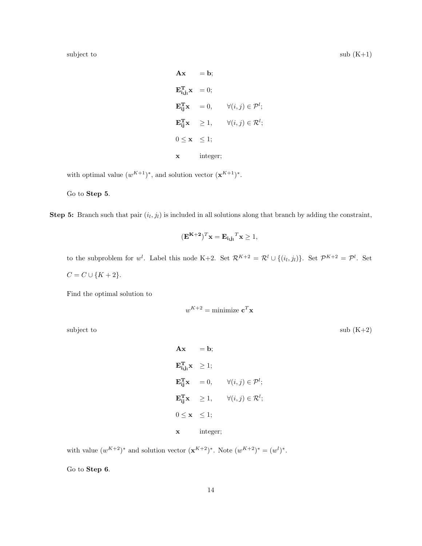subject to submit  $(K+1)$ 

 $\mathbf{A}\mathbf{x} = \mathbf{b}$ ;  $\mathbf{E_{i_1 j_1}^T} \mathbf{x} = 0;$  $\mathbf{E_{ij}^T}\mathbf{x} = 0, \quad \forall (i, j) \in \mathcal{P}^l;$  $\mathbf{E_{ij}^T}\mathbf{x} \quad \geq 1, \qquad \forall (i,j) \in \mathcal{R}^l;$  $0 \leq \mathbf{x} \leq 1;$ x integer;

with optimal value  $(w^{K+1})^*$ , and solution vector  $(\mathbf{x}^{K+1})^*$ .

Go to Step 5.

**Step 5:** Branch such that pair  $(i_l, j_l)$  is included in all solutions along that branch by adding the constraint,

$$
(\mathbf{E}^{\mathbf{K}+\mathbf{2}})^T \mathbf{x} = \mathbf{E}_{\mathbf{i}_1 \mathbf{j}_1}^T \mathbf{x} \ge 1,
$$

to the subproblem for  $w^l$ . Label this node K+2. Set  $\mathcal{R}^{K+2} = \mathcal{R}^l \cup \{(i_l,j_l)\}$ . Set  $\mathcal{P}^{K+2} = \mathcal{P}^l$ . Set  $C = C \cup \{K+2\}.$ 

Find the optimal solution to

$$
w^{K+2} = \text{minimize } \mathbf{c}^T \mathbf{x}
$$

subject to sub  $(K+2)$ 

$$
\begin{aligned}\n\mathbf{A}\mathbf{x} &= \mathbf{b}; \\
\mathbf{E}_{\mathbf{i},\mathbf{j},\mathbf{x}}^{\mathbf{T}} &\geq 1; \\
\mathbf{E}_{\mathbf{i},\mathbf{j}}^{\mathbf{T}}\mathbf{x} &= 0, \qquad \forall (i,j) \in \mathcal{P}^l; \\
\mathbf{E}_{\mathbf{i}\mathbf{j}}^{\mathbf{T}}\mathbf{x} &\geq 1, \qquad \forall (i,j) \in \mathcal{R}^l; \\
0 &\leq \mathbf{x} \leq 1; \\
\mathbf{x} &\text{integer;} \n\end{aligned}
$$

with value  $(w^{K+2})^*$  and solution vector  $(\mathbf{x}^{K+2})^*$ . Note  $(w^{K+2})^* = (w^l)^*$ .

Go to Step 6.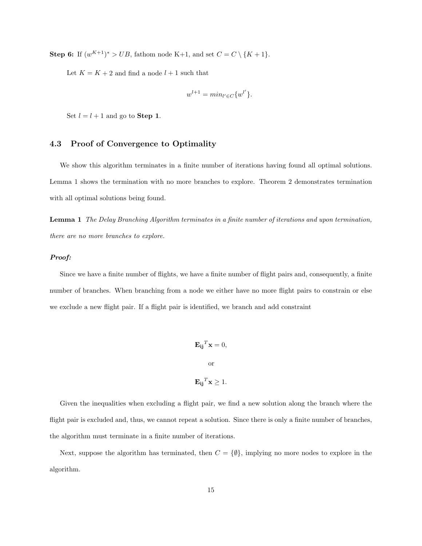**Step 6:** If  $(w^{K+1})^* > UB$ , fathom node K+1, and set  $C = C \setminus \{K+1\}$ .

Let  $K=K+2$  and find a node  $l+1$  such that

$$
w^{l+1} = \min_{l' \in C} \{w^{l'}\}.
$$

Set  $l = l + 1$  and go to **Step 1**.

### 4.3 Proof of Convergence to Optimality

We show this algorithm terminates in a finite number of iterations having found all optimal solutions. Lemma 1 shows the termination with no more branches to explore. Theorem 2 demonstrates termination with all optimal solutions being found.

Lemma 1 The Delay Branching Algorithm terminates in a finite number of iterations and upon termination, there are no more branches to explore.

#### Proof:

Since we have a finite number of flights, we have a finite number of flight pairs and, consequently, a finite number of branches. When branching from a node we either have no more flight pairs to constrain or else we exclude a new flight pair. If a flight pair is identified, we branch and add constraint

$$
\mathbf{E_{ij}}^T \mathbf{x} = 0,
$$
  
or  

$$
\mathbf{E_{ij}}^T \mathbf{x} \ge 1.
$$

Given the inequalities when excluding a flight pair, we find a new solution along the branch where the flight pair is excluded and, thus, we cannot repeat a solution. Since there is only a finite number of branches, the algorithm must terminate in a finite number of iterations.

Next, suppose the algorithm has terminated, then  $C = \{\emptyset\}$ , implying no more nodes to explore in the algorithm.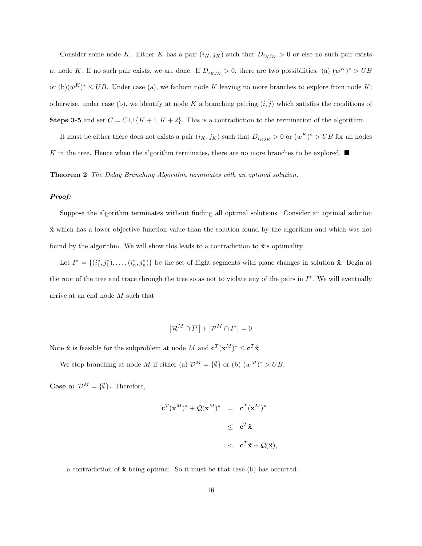Consider some node K. Either K has a pair  $(i_K, j_K)$  such that  $D_{i_K j_K} > 0$  or else no such pair exists at node K. If no such pair exists, we are done. If  $D_{i_Kj_K} > 0$ , there are two possibilities: (a)  $(w^K)^* > UB$ or  $(b)(w^K)^* \leq UB$ . Under case (a), we fathom node K leaving no more branches to explore from node K; otherwise, under case (b), we identify at node K a branching pairing  $(\hat{i}, \hat{j})$  which satisfies the conditions of Steps 3-5 and set  $C = C \cup \{K + 1, K + 2\}$ . This is a contradiction to the termination of the algorithm.

It must be either there does not exists a pair  $(i_K, j_K)$  such that  $D_{i_K j_K} > 0$  or  $(w^K)^* > UB$  for all nodes K in the tree. Hence when the algorithm terminates, there are no more branches to be explored.  $\blacksquare$ 

Theorem 2 The Delay Branching Algorithm terminates with an optimal solution.

#### Proof:

Suppose the algorithm terminates without finding all optimal solutions. Consider an optimal solution  $\hat{\mathbf{x}}$  which has a lower objective function value than the solution found by the algorithm and which was not found by the algorithm. We will show this leads to a contradiction to  $\hat{\mathbf{x}}$ 's optimality.

Let  $I^* = \{(i_1^*, j_1^*), \ldots, (i_n^*, j_n^*)\}$  be the set of flight segments with plane changes in solution  $\hat{\mathbf{x}}$ . Begin at the root of the tree and trace through the tree so as not to violate any of the pairs in  $I^*$ . We will eventually arrive at an end node M such that

$$
\left|\mathcal{R}^M\cap \overline{I^*}\right|+\left|\mathcal{P}^M\cap I^*\right|=0
$$

Note  $\hat{\mathbf{x}}$  is feasible for the subproblem at node M and  $\mathbf{c}^T(\mathbf{x}^M)^* \leq \mathbf{c}^T \hat{\mathbf{x}}$ .

We stop branching at node M if either (a)  $\mathcal{D}^M = \{\emptyset\}$  or (b)  $(w^M)^* > UB$ .

**Case a:**  $\mathcal{D}^M = \{\emptyset\}$ . Therefore,

$$
\mathbf{c}^{T}(\mathbf{x}^{M})^{*} + \mathcal{Q}(\mathbf{x}^{M})^{*} = \mathbf{c}^{T}(\mathbf{x}^{M})^{*}
$$

$$
\leq \mathbf{c}^{T}\hat{\mathbf{x}}
$$

$$
< \mathbf{c}^{T}\hat{\mathbf{x}} + \mathcal{Q}(\hat{\mathbf{x}}),
$$

a contradiction of  $\hat{\mathbf{x}}$  being optimal. So it must be that case (b) has occurred.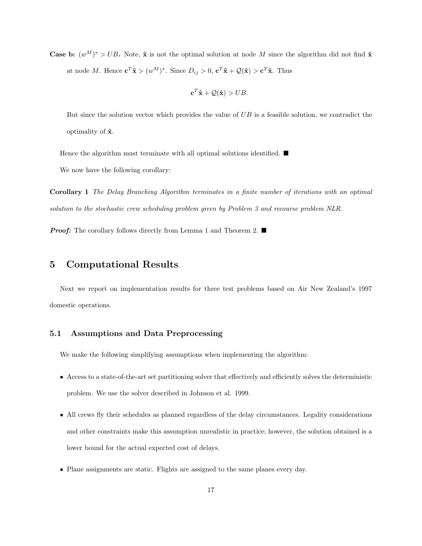**Case b:**  $(w^M)^* > UB$ . Note,  $\hat{\mathbf{x}}$  is not the optimal solution at node M since the algorithm did not find  $\hat{\mathbf{x}}$ at node M. Hence  $\mathbf{c}^T \hat{\mathbf{x}} > (w^M)^*$ . Since  $D_{ij} > 0$ ,  $\mathbf{c}^T \hat{\mathbf{x}} + \mathcal{Q}(\hat{\mathbf{x}}) > \mathbf{c}^T \hat{\mathbf{x}}$ . Thus

$$
\mathbf{c}^T \hat{\mathbf{x}} + \mathcal{Q}(\hat{\mathbf{x}}) > UB.
$$

But since the solution vector which provides the value of UB is a feasible solution, we contradict the optimality of  $\hat{\mathbf{x}}$ .

Hence the algorithm must terminate with all optimal solutions identified.  $\blacksquare$ 

We now have the following corollary:

Corollary 1 The Delay Branching Algorithm terminates in a finite number of iterations with an optimal solution to the stochastic crew scheduling problem given by Problem 3 and recourse problem NLR.

**Proof:** The corollary follows directly from Lemma 1 and Theorem 2.  $\blacksquare$ 

### 5 Computational Results

Next we report on implementation results for three test problems based on Air New Zealand's 1997 domestic operations.

### 5.1 Assumptions and Data Preprocessing

We make the following simplifying assumptions when implementing the algorithm:

- Access to a state-of-the-art set partitioning solver that effectively and efficiently solves the deterministic problem. We use the solver described in Johnson et al. 1999.
- All crews fly their schedules as planned regardless of the delay circumstances. Legality considerations and other constraints make this assumption unrealistic in practice; however, the solution obtained is a lower bound for the actual expected cost of delays.
- Plane assignments are static. Flights are assigned to the same planes every day.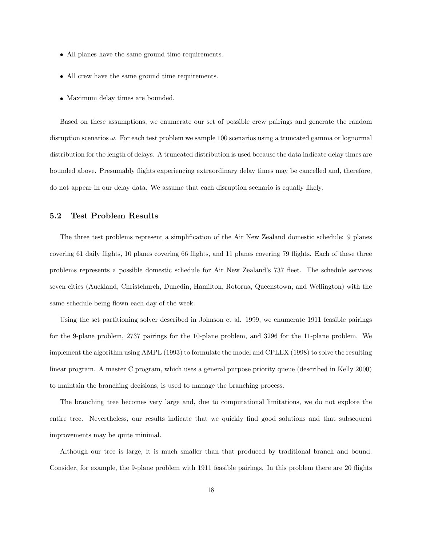- All planes have the same ground time requirements.
- All crew have the same ground time requirements.
- Maximum delay times are bounded.

Based on these assumptions, we enumerate our set of possible crew pairings and generate the random disruption scenarios  $\omega$ . For each test problem we sample 100 scenarios using a truncated gamma or lognormal distribution for the length of delays. A truncated distribution is used because the data indicate delay times are bounded above. Presumably flights experiencing extraordinary delay times may be cancelled and, therefore, do not appear in our delay data. We assume that each disruption scenario is equally likely.

#### 5.2 Test Problem Results

The three test problems represent a simplification of the Air New Zealand domestic schedule: 9 planes covering 61 daily flights, 10 planes covering 66 flights, and 11 planes covering 79 flights. Each of these three problems represents a possible domestic schedule for Air New Zealand's 737 fleet. The schedule services seven cities (Auckland, Christchurch, Dunedin, Hamilton, Rotorua, Queenstown, and Wellington) with the same schedule being flown each day of the week.

Using the set partitioning solver described in Johnson et al. 1999, we enumerate 1911 feasible pairings for the 9-plane problem, 2737 pairings for the 10-plane problem, and 3296 for the 11-plane problem. We implement the algorithm using AMPL (1993) to formulate the model and CPLEX (1998) to solve the resulting linear program. A master C program, which uses a general purpose priority queue (described in Kelly 2000) to maintain the branching decisions, is used to manage the branching process.

The branching tree becomes very large and, due to computational limitations, we do not explore the entire tree. Nevertheless, our results indicate that we quickly find good solutions and that subsequent improvements may be quite minimal.

Although our tree is large, it is much smaller than that produced by traditional branch and bound. Consider, for example, the 9-plane problem with 1911 feasible pairings. In this problem there are 20 flights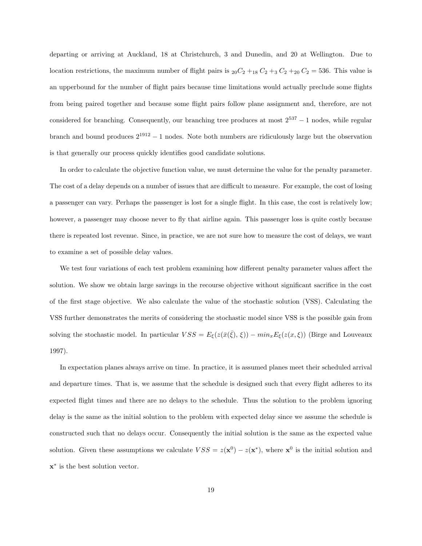departing or arriving at Auckland, 18 at Christchurch, 3 and Dunedin, and 20 at Wellington. Due to location restrictions, the maximum number of flight pairs is  ${}_{20}C_2 + {}_{18}C_2 + {}_{3}C_2 + {}_{20}C_2 = 536$ . This value is an upperbound for the number of flight pairs because time limitations would actually preclude some flights from being paired together and because some flight pairs follow plane assignment and, therefore, are not considered for branching. Consequently, our branching tree produces at most  $2^{537} - 1$  nodes, while regular branch and bound produces 2<sup>1912</sup> <sup>−</sup> 1 nodes. Note both numbers are ridiculously large but the observation is that generally our process quickly identifies good candidate solutions.

In order to calculate the objective function value, we must determine the value for the penalty parameter. The cost of a delay depends on a number of issues that are difficult to measure. For example, the cost of losing a passenger can vary. Perhaps the passenger is lost for a single flight. In this case, the cost is relatively low; however, a passenger may choose never to fly that airline again. This passenger loss is quite costly because there is repeated lost revenue. Since, in practice, we are not sure how to measure the cost of delays, we want to examine a set of possible delay values.

We test four variations of each test problem examining how different penalty parameter values affect the solution. We show we obtain large savings in the recourse objective without significant sacrifice in the cost of the first stage objective. We also calculate the value of the stochastic solution (VSS). Calculating the VSS further demonstrates the merits of considering the stochastic model since VSS is the possible gain from solving the stochastic model. In particular  $VSS = E_{\xi}(z(\bar{x}(\bar{\xi}), \xi)) - min_x E_{\xi}(z(x, \xi))$  (Birge and Louveaux 1997).

In expectation planes always arrive on time. In practice, it is assumed planes meet their scheduled arrival and departure times. That is, we assume that the schedule is designed such that every flight adheres to its expected flight times and there are no delays to the schedule. Thus the solution to the problem ignoring delay is the same as the initial solution to the problem with expected delay since we assume the schedule is constructed such that no delays occur. Consequently the initial solution is the same as the expected value solution. Given these assumptions we calculate  $VSS = z(\mathbf{x}^0) - z(\mathbf{x}^*)$ , where  $\mathbf{x}^0$  is the initial solution and x ∗ is the best solution vector.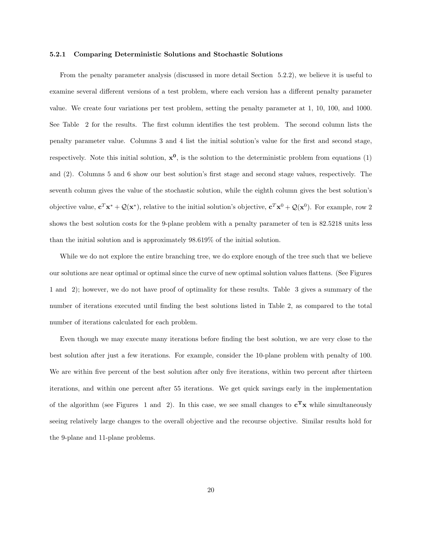#### 5.2.1 Comparing Deterministic Solutions and Stochastic Solutions

From the penalty parameter analysis (discussed in more detail Section 5.2.2), we believe it is useful to examine several different versions of a test problem, where each version has a different penalty parameter value. We create four variations per test problem, setting the penalty parameter at 1, 10, 100, and 1000. See Table 2 for the results. The first column identifies the test problem. The second column lists the penalty parameter value. Columns 3 and 4 list the initial solution's value for the first and second stage, respectively. Note this initial solution,  $x^0$ , is the solution to the deterministic problem from equations (1) and (2). Columns 5 and 6 show our best solution's first stage and second stage values, respectively. The seventh column gives the value of the stochastic solution, while the eighth column gives the best solution's objective value,  $\mathbf{c}^T \mathbf{x}^* + \mathcal{Q}(\mathbf{x}^*)$ , relative to the initial solution's objective,  $\mathbf{c}^T \mathbf{x}^0 + \mathcal{Q}(\mathbf{x}^0)$ . For example, row 2 shows the best solution costs for the 9-plane problem with a penalty parameter of ten is 82.5218 units less than the initial solution and is approximately 98.619% of the initial solution.

While we do not explore the entire branching tree, we do explore enough of the tree such that we believe our solutions are near optimal or optimal since the curve of new optimal solution values flattens. (See Figures 1 and 2); however, we do not have proof of optimality for these results. Table 3 gives a summary of the number of iterations executed until finding the best solutions listed in Table 2, as compared to the total number of iterations calculated for each problem.

Even though we may execute many iterations before finding the best solution, we are very close to the best solution after just a few iterations. For example, consider the 10-plane problem with penalty of 100. We are within five percent of the best solution after only five iterations, within two percent after thirteen iterations, and within one percent after 55 iterations. We get quick savings early in the implementation of the algorithm (see Figures 1 and 2). In this case, we see small changes to  $c^{\mathbf{T}}x$  while simultaneously seeing relatively large changes to the overall objective and the recourse objective. Similar results hold for the 9-plane and 11-plane problems.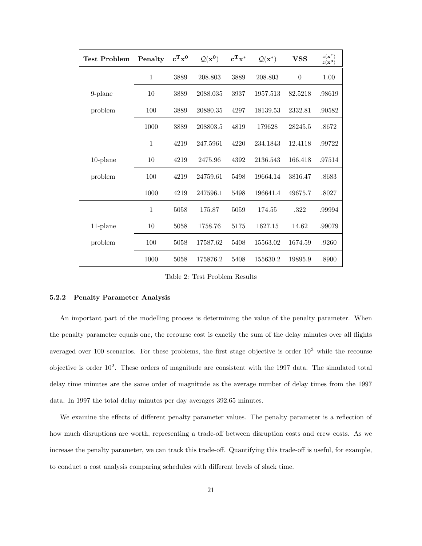| <b>Test Problem</b> | Penalty      | $\mathbf{c}^{\mathbf{T}}\mathbf{x}^{\mathbf{0}}$ | $\mathcal{Q}(\mathbf{x}^0)$ | $c^Tx^*$ | $\mathcal{Q}(\mathbf{x}^*)$ | <b>VSS</b> | $rac{z(\mathbf{x}^*)}{z(\mathbf{x}^0)}$ |
|---------------------|--------------|--------------------------------------------------|-----------------------------|----------|-----------------------------|------------|-----------------------------------------|
|                     | $\mathbf{1}$ | 3889                                             | 208.803                     | 3889     | 208.803                     | $\theta$   | 1.00                                    |
| 9-plane             | 10           | 3889                                             | 2088.035                    | 3937     | 1957.513                    | 82.5218    | .98619                                  |
| problem             | 100          | 3889                                             | 20880.35                    | 4297     | 18139.53                    | 2332.81    | .90582                                  |
|                     | 1000         | 3889                                             | 208803.5                    | 4819     | 179628                      | 28245.5    | .8672                                   |
|                     | $\mathbf{1}$ | 4219                                             | 247.5961                    | 4220     | 234.1843                    | 12.4118    | .99722                                  |
| $10$ -plane         | 10           | 4219                                             | 2475.96                     | 4392     | 2136.543                    | 166.418    | .97514                                  |
| problem             | 100          | 4219                                             | 24759.61                    | 5498     | 19664.14                    | 3816.47    | .8683                                   |
|                     | 1000         | 4219                                             | 247596.1                    | 5498     | 196641.4                    | 49675.7    | .8027                                   |
|                     | $\mathbf{1}$ | 5058                                             | 175.87                      | 5059     | 174.55                      | .322       | .99994                                  |
| $11$ -plane         | 10           | 5058                                             | 1758.76                     | 5175     | 1627.15                     | 14.62      | .99079                                  |
| problem             | 100          | 5058                                             | 17587.62                    | 5408     | 15563.02                    | 1674.59    | .9260                                   |
|                     | 1000         | 5058                                             | 175876.2                    | 5408     | 155630.2                    | 19895.9    | .8900                                   |

Table 2: Test Problem Results

#### 5.2.2 Penalty Parameter Analysis

An important part of the modelling process is determining the value of the penalty parameter. When the penalty parameter equals one, the recourse cost is exactly the sum of the delay minutes over all flights averaged over 100 scenarios. For these problems, the first stage objective is order  $10^3$  while the recourse objective is order  $10^2$ . These orders of magnitude are consistent with the 1997 data. The simulated total delay time minutes are the same order of magnitude as the average number of delay times from the 1997 data. In 1997 the total delay minutes per day averages 392.65 minutes.

We examine the effects of different penalty parameter values. The penalty parameter is a reflection of how much disruptions are worth, representing a trade-off between disruption costs and crew costs. As we increase the penalty parameter, we can track this trade-off. Quantifying this trade-off is useful, for example, to conduct a cost analysis comparing schedules with different levels of slack time.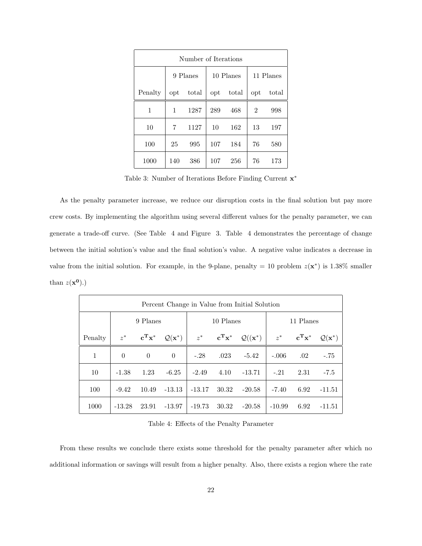| Number of Iterations |          |       |              |       |                |       |
|----------------------|----------|-------|--------------|-------|----------------|-------|
|                      | 9 Planes |       | 10 Planes    |       | 11 Planes      |       |
| Penalty              | opt      | total | $_{\rm opt}$ | total | opt            | total |
| 1                    | 1        | 1287  | 289          | 468   | $\overline{2}$ | 998   |
| 10                   | 7        | 1127  | 10           | 162   | 13             | 197   |
| 100                  | 25       | 995   | 107          | 184   | 76             | 580   |
| 1000                 | 140      | 386   | 107          | 256   | 76             | 173   |

Table 3: Number of Iterations Before Finding Current  $\mathbf{x}^*$ 

As the penalty parameter increase, we reduce our disruption costs in the final solution but pay more crew costs. By implementing the algorithm using several different values for the penalty parameter, we can generate a trade-off curve. (See Table 4 and Figure 3. Table 4 demonstrates the percentage of change between the initial solution's value and the final solution's value. A negative value indicates a decrease in value from the initial solution. For example, in the 9-plane, penalty = 10 problem  $z(\mathbf{x}^*)$  is 1.38% smaller than  $z(\mathbf{x}^0)$ .)

| Percent Change in Value from Initial Solution |          |                                       |                             |           |                                              |                              |           |                                              |                             |
|-----------------------------------------------|----------|---------------------------------------|-----------------------------|-----------|----------------------------------------------|------------------------------|-----------|----------------------------------------------|-----------------------------|
|                                               | 9 Planes |                                       |                             | 10 Planes |                                              |                              | 11 Planes |                                              |                             |
| Penalty                                       | $z^*$    | $\mathbf{c}^{\mathbf{T}}\mathbf{x}^*$ | $\mathcal{Q}(\mathbf{x}^*)$ |           | $z^*$ $\mathbf{c}^{\mathbf{T}} \mathbf{x}^*$ | $\mathcal{Q}((\mathbf{x}^*)$ |           | $z^*$ $\mathbf{c}^{\mathbf{T}} \mathbf{x}^*$ | $\mathcal{Q}(\mathbf{x}^*)$ |
| 1                                             | $\Omega$ | $\theta$                              | $\Omega$                    | $-.28$    | .023                                         | $-5.42$                      | $-.006$   | .02                                          | $-.75$                      |
| 10                                            | $-1.38$  | 1.23                                  | $-6.25$                     | $-2.49$   | 4.10                                         | $-13.71$                     | $-.21$    | 2.31                                         | $-7.5$                      |
| 100                                           | $-9.42$  | 10.49                                 | $-13.13$                    | $-13.17$  | 30.32                                        | $-20.58$                     | $-7.40$   | 6.92                                         | $-11.51$                    |
| 1000                                          | $-13.28$ | 23.91                                 | -13.97                      | $-19.73$  | 30.32                                        | $-20.58$                     | $-10.99$  | 6.92                                         | -11.51                      |

Table 4: Effects of the Penalty Parameter

From these results we conclude there exists some threshold for the penalty parameter after which no additional information or savings will result from a higher penalty. Also, there exists a region where the rate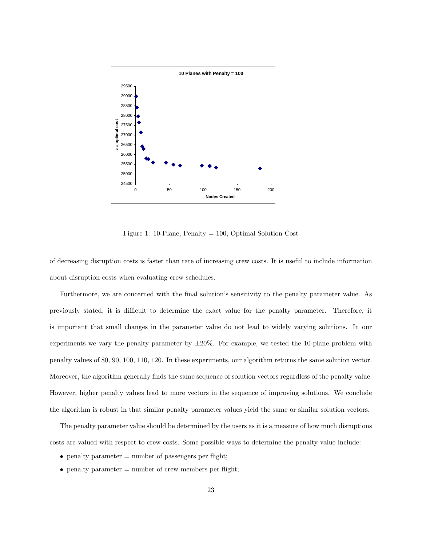

Figure 1: 10-Plane, Penalty = 100, Optimal Solution Cost

of decreasing disruption costs is faster than rate of increasing crew costs. It is useful to include information about disruption costs when evaluating crew schedules.

Furthermore, we are concerned with the final solution's sensitivity to the penalty parameter value. As previously stated, it is difficult to determine the exact value for the penalty parameter. Therefore, it is important that small changes in the parameter value do not lead to widely varying solutions. In our experiments we vary the penalty parameter by  $\pm 20\%$ . For example, we tested the 10-plane problem with penalty values of 80, 90, 100, 110, 120. In these experiments, our algorithm returns the same solution vector. Moreover, the algorithm generally finds the same sequence of solution vectors regardless of the penalty value. However, higher penalty values lead to more vectors in the sequence of improving solutions. We conclude the algorithm is robust in that similar penalty parameter values yield the same or similar solution vectors.

The penalty parameter value should be determined by the users as it is a measure of how much disruptions costs are valued with respect to crew costs. Some possible ways to determine the penalty value include:

- penalty parameter  $=$  number of passengers per flight;
- penalty parameter  $=$  number of crew members per flight;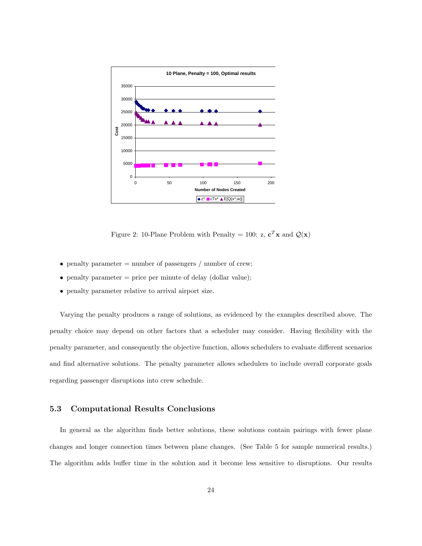

Figure 2: 10-Plane Problem with Penalty = 100: z,  $\mathbf{c}^T \mathbf{x}$  and  $\mathcal{Q}(\mathbf{x})$ 

- penalty parameter  $=$  number of passengers  $/$  number of crew;
- penalty parameter  $=$  price per minute of delay (dollar value);
- penalty parameter relative to arrival airport size.

Varying the penalty produces a range of solutions, as evidenced by the examples described above. The penalty choice may depend on other factors that a scheduler may consider. Having flexibility with the penalty parameter, and consequently the objective function, allows schedulers to evaluate different scenarios and find alternative solutions. The penalty parameter allows schedulers to include overall corporate goals regarding passenger disruptions into crew schedule.

### 5.3 Computational Results Conclusions

In general as the algorithm finds better solutions, these solutions contain pairings with fewer plane changes and longer connection times between plane changes. (See Table 5 for sample numerical results.) The algorithm adds buffer time in the solution and it become less sensitive to disruptions. Our results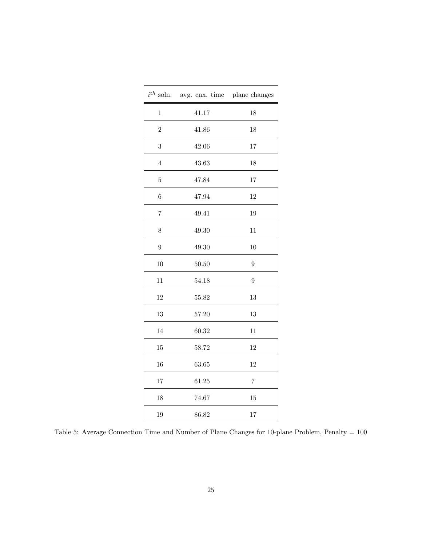|                | $i^{th}$ soln. avg. cnx. time $\;$ plane changes |                |
|----------------|--------------------------------------------------|----------------|
| $\mathbf{1}$   | 41.17                                            | 18             |
| $\overline{2}$ | 41.86                                            | 18             |
| 3              | 42.06                                            | 17             |
| $\overline{4}$ | 43.63                                            | 18             |
| 5              | 47.84                                            | 17             |
| $\overline{6}$ | 47.94                                            | 12             |
| $\overline{7}$ | 49.41                                            | 19             |
| 8              | 49.30                                            | 11             |
| $\overline{9}$ | 49.30                                            | 10             |
| 10             | 50.50                                            | 9              |
| 11             | 54.18                                            | 9              |
| 12             | 55.82                                            | 13             |
| 13             | 57.20                                            | 13             |
| 14             | 60.32                                            | 11             |
| 15             | 58.72                                            | 12             |
| 16             | 63.65                                            | 12             |
| 17             | 61.25                                            | $\overline{7}$ |
| 18             | 74.67                                            | 15             |
| 19             | 86.82                                            | 17             |

Table 5: Average Connection Time and Number of Plane Changes for 10-plane Problem, Penalty = 100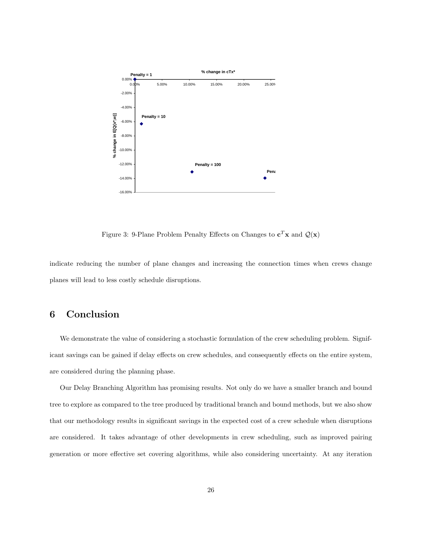

Figure 3: 9-Plane Problem Penalty Effects on Changes to  $\mathbf{c}^T \mathbf{x}$  and  $\mathcal{Q}(\mathbf{x})$ 

indicate reducing the number of plane changes and increasing the connection times when crews change planes will lead to less costly schedule disruptions.

# 6 Conclusion

We demonstrate the value of considering a stochastic formulation of the crew scheduling problem. Significant savings can be gained if delay effects on crew schedules, and consequently effects on the entire system, are considered during the planning phase.

Our Delay Branching Algorithm has promising results. Not only do we have a smaller branch and bound tree to explore as compared to the tree produced by traditional branch and bound methods, but we also show that our methodology results in significant savings in the expected cost of a crew schedule when disruptions are considered. It takes advantage of other developments in crew scheduling, such as improved pairing generation or more effective set covering algorithms, while also considering uncertainty. At any iteration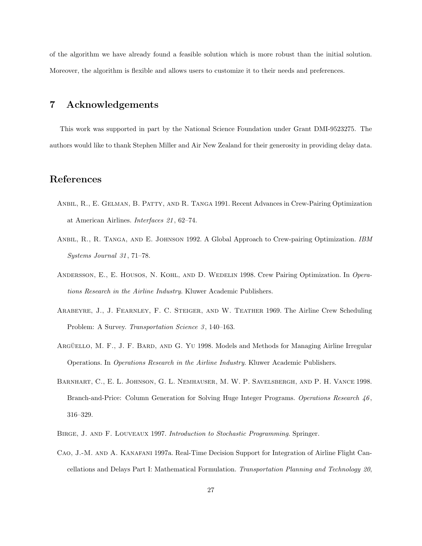of the algorithm we have already found a feasible solution which is more robust than the initial solution. Moreover, the algorithm is flexible and allows users to customize it to their needs and preferences.

## 7 Acknowledgements

This work was supported in part by the National Science Foundation under Grant DMI-9523275. The authors would like to thank Stephen Miller and Air New Zealand for their generosity in providing delay data.

# References

- Anbil, R., E. Gelman, B. Patty, and R. Tanga 1991. Recent Advances in Crew-Pairing Optimization at American Airlines. Interfaces 21 , 62–74.
- ANBIL, R., R. TANGA, AND E. JOHNSON 1992. A Global Approach to Crew-pairing Optimization. IBM Systems Journal 31 , 71–78.
- Andersson, E., E. Housos, N. Kohl, and D. Wedelin 1998. Crew Pairing Optimization. In Operations Research in the Airline Industry. Kluwer Academic Publishers.
- Arabeyre, J., J. Fearnley, F. C. Steiger, and W. Teather 1969. The Airline Crew Scheduling Problem: A Survey. Transportation Science 3, 140–163.
- ARGÜELLO, M. F., J. F. BARD, AND G. YU 1998. Models and Methods for Managing Airline Irregular Operations. In Operations Research in the Airline Industry. Kluwer Academic Publishers.
- Barnhart, C., E. L. Johnson, G. L. Nemhauser, M. W. P. Savelsbergh, and P. H. Vance 1998. Branch-and-Price: Column Generation for Solving Huge Integer Programs. Operations Research  $46$ , 316–329.
- Birge, J. and F. Louveaux 1997. Introduction to Stochastic Programming. Springer.
- Cao, J.-M. and A. Kanafani 1997a. Real-Time Decision Support for Integration of Airline Flight Cancellations and Delays Part I: Mathematical Formulation. Transportation Planning and Technology 20,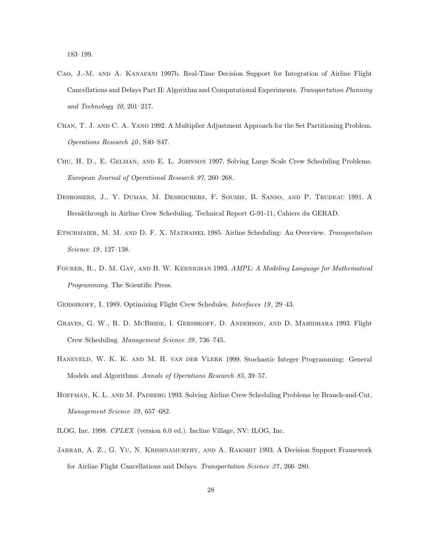183–199.

- Cao, J.-M. and A. Kanafani 1997b. Real-Time Decision Support for Integration of Airline Flight Cancellations and Delays Part II: Algorithm and Computational Experiments. Transportation Planning and Technology 20, 201–217.
- Chan, T. J. and C. A. Yano 1992. A Multiplier Adjustment Approach for the Set Partitioning Problem. Operations Research 40 , S40–S47.
- Chu, H. D., E. Gelman, and E. L. Johnson 1997. Solving Large Scale Crew Scheduling Problems. European Journal of Operational Research 97, 260–268.
- Desrosiers, J., Y. Dumas, M. Desrochers, F. Soumis, B. Sanso, and P. Trudeau 1991. A Breakthrough in Airline Crew Scheduling. Technical Report G-91-11, Cahiers du GERAD.
- ETSCHMAIER, M. M. AND D. F. X. MATHAISEL 1985. Airline Scheduling: An Overview. Transportation Science 19, 127-138.
- Fourer, R., D. M. Gay, and B. W. Kernighan 1993. AMPL: A Modeling Language for Mathematical Programming. The Scientific Press.
- GERSHKOFF, I. 1989. Optimizing Flight Crew Schedules. Interfaces 19, 29-43.
- Graves, G. W., R. D. McBride, I. Gershkoff, D. Anderson, and D. Mahidhara 1993. Flight Crew Scheduling. Management Science 39 , 736–745.
- Haneveld, W. K. K. and M. H. van der Vlerk 1999. Stochastic Integer Programming: General Models and Algorithms. Annals of Operations Research 85, 39–57.
- Hoffman, K. L. and M. Padberg 1993. Solving Airline Crew Scheduling Problems by Branch-and-Cut. Management Science 39 , 657–682.
- ILOG, Inc. 1998. CPLEX (version 6.0 ed.). Incline Village, NV: ILOG, Inc.
- Jarrah, A. Z., G. Yu, N. Krishnamurthy, and A. Rakshit 1993. A Decision Support Framework for Airline Flight Cancellations and Delays. Transportation Science 27 , 266–280.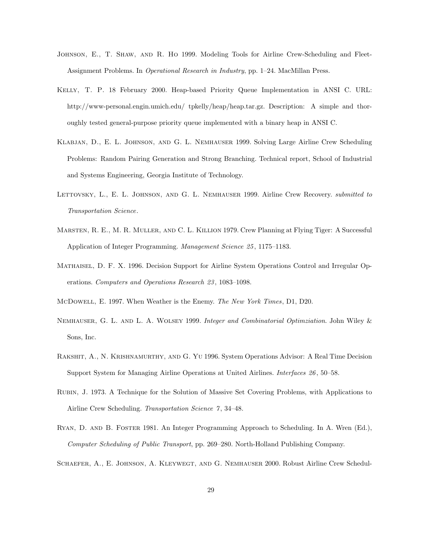- Johnson, E., T. Shaw, and R. Ho 1999. Modeling Tools for Airline Crew-Scheduling and Fleet-Assignment Problems. In Operational Research in Industry, pp. 1–24. MacMillan Press.
- Kelly, T. P. 18 February 2000. Heap-based Priority Queue Implementation in ANSI C. URL: http://www-personal.engin.umich.edu/ tpkelly/heap/heap.tar.gz. Description: A simple and thoroughly tested general-purpose priority queue implemented with a binary heap in ANSI C.
- Klabjan, D., E. L. Johnson, and G. L. Nemhauser 1999. Solving Large Airline Crew Scheduling Problems: Random Pairing Generation and Strong Branching. Technical report, School of Industrial and Systems Engineering, Georgia Institute of Technology.
- LETTOVSKY, L., E. L. JOHNSON, AND G. L. NEMHAUSER 1999. Airline Crew Recovery. *submitted to* Transportation Science.
- MARSTEN, R. E., M. R. MULLER, AND C. L. KILLION 1979. Crew Planning at Flying Tiger: A Successful Application of Integer Programming. Management Science 25 , 1175–1183.
- Mathaisel, D. F. X. 1996. Decision Support for Airline System Operations Control and Irregular Operations. Computers and Operations Research 23 , 1083–1098.
- McDowell, E. 1997. When Weather is the Enemy. The New York Times, D1, D20.
- Nemhauser, G. L. and L. A. Wolsey 1999. Integer and Combinatorial Optimziation. John Wiley & Sons, Inc.
- Rakshit, A., N. Krishnamurthy, and G. Yu 1996. System Operations Advisor: A Real Time Decision Support System for Managing Airline Operations at United Airlines. Interfaces 26 , 50–58.
- Rubin, J. 1973. A Technique for the Solution of Massive Set Covering Problems, with Applications to Airline Crew Scheduling. Transportation Science 7, 34-48.
- Ryan, D. and B. Foster 1981. An Integer Programming Approach to Scheduling. In A. Wren (Ed.), Computer Scheduling of Public Transport, pp. 269–280. North-Holland Publishing Company.
- Schaefer, A., E. Johnson, A. Kleywegt, and G. Nemhauser 2000. Robust Airline Crew Schedul-